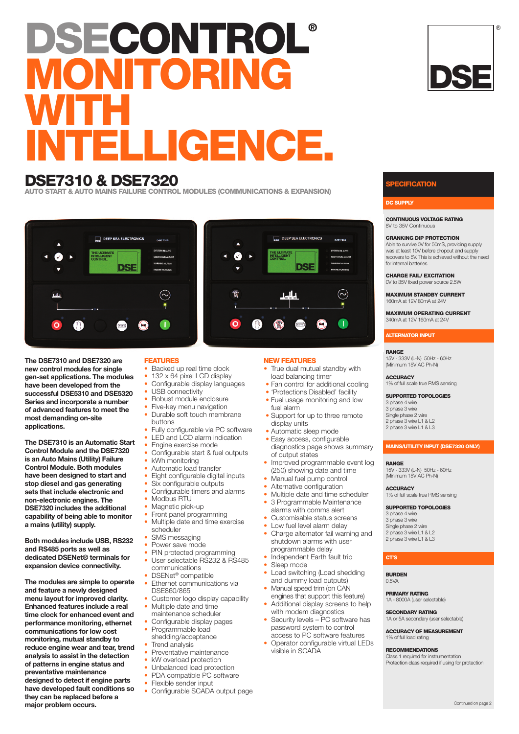# **DSECONTROL® NITORING WITH INTELLIGENCE.**

## **DSE7310 & DSE7320**

**AUTO START & AUTO MAINS FAILURE CONTROL MODULES (COMMUNICATIONS & EXPANSION)**

### DEEP SEA ELECTRONICS DEEP SEA ELECTRONICS ◙  $\omega$ **DSF DSE**  $\mathbf{o}$  $\bm{\Omega}$ T  $\circledR$  $\circ$  $t$ AUTO  $\mathbb{C}$

**The DSE7310 and DSE7320 are new control modules for single gen-set applications. The modules have been developed from the successful DSE5310 and DSE5320 Series and incorporate a number of advanced features to meet the most demanding on-site applications.**

**The DSE7310 is an Automatic Start Control Module and the DSE7320 is an Auto Mains (Utility) Failure Control Module. Both modules have been designed to start and stop diesel and gas generating sets that include electronic and non-electronic engines. The DSE7320 includes the additional capability of being able to monitor a mains (utility) supply.**

**Both modules include USB, RS232 and RS485 ports as well as dedicated DSENet® terminals for expansion device connectivity.**

**The modules are simple to operate and feature a newly designed menu layout for improved clarity. Enhanced features include a real time clock for enhanced event and performance monitoring, ethernet communications for low cost monitoring, mutual standby to reduce engine wear and tear, trend analysis to assist in the detection of patterns in engine status and preventative maintenance designed to detect if engine parts have developed fault conditions so they can be replaced before a major problem occurs.**

## **FEATURES**

- Backed up real time clock
- 132 x 64 pixel LCD display
- Configurable display languages
- USB connectivity
- Robust module enclosure
- Five-key menu navigation
- Durable soft touch membrane buttons
- Fully configurable via PC software
- LED and LCD alarm indication
- Engine exercise mode
- Configurable start & fuel outputs • kWh monitoring
- Automatic load transfer
- 
- Eight configurable digital inputs Six configurable outputs
- Configurable timers and alarms
- Modbus RTU
- Magnetic pick-up
- Front panel programming
- Multiple date and time exercise scheduler
- 
- SMS messaging
- Power save mode
- PIN protected programming User selectable RS232 & RS485
	- communications
- DSENet<sup>®</sup> compatible Ethernet communications via
- DSE860/865
- Customer logo display capability Multiple date and time
- maintenance scheduler
- Configurable display pages
- Programmable load shedding/acceptance
- Trend analysis
- Preventative maintenance
- kW overload protection
- Unbalanced load protection
- PDA compatible PC software
- Flexible sender input<br>• Configurable SCADA
- Configurable SCADA output page

#### **NEW FEATURES**

- True dual mutual standby with load balancing timer
- Fan control for additional cooling
- 'Protections Disabled' facility
- Fuel usage monitoring and low fuel alarm
- Support for up to three remote display units
- Automatic sleep mode
- Easy access, configurable diagnostics page shows summary of output states
- Improved programmable event log (250) showing date and time
- Manual fuel pump control
- Alternative configuration
- Multiple date and time scheduler
- 3 Programmable Maintenance
- alarms with comms alert
- Customisable status screens
- Low fuel level alarm delay
- Charge alternator fail warning and shutdown alarms with user
- programmable delay
- Independent Earth fault trip
- Sleep mode
- Load switching (Load shedding and dummy load outputs)
- Manual speed trim (on CAN engines that support this feature)
- Additional display screens to help with modem diagnostics
- Security levels PC software has password system to control access to PC software features
- Operator configurable virtual LEDs visible in SCADA

#### **FICATION**

#### **CONTINUOUS VOLTAGE RATING** 8V to 35V Continuous

**CRANKING DIP PROTECTION**

Able to survive 0V for 50mS, providing supply was at least 10V before dropout and supply recovers to 5V. This is achieved without the need for internal batteries

®

**CHARGE FAIL/ EXCITATION** 0V to 35V fixed power source 2.5W

**MAXIMUM STANDBY CURRENT** 160mA at 12V 80mA at 24V

**MAXIMUM OPERATING CURRENT** 340mA at 12V 160mA at 24V

**ALTERNATOR INPUT**

#### **RANGE**

15V - 333V (L-N) 50Hz - 60Hz (Minimum 15V AC Ph-N)

**ACCURACY** 1% of full scale true RMS sensing

**SUPPORTED TOPOLOGIES** 3 phase 4 wire 3 phase 3 wire Single phase 2 wire 2 phase 3 wire L1 & L2 2 phase 3 wire L1 & L3

#### **MAINS/UTILITY INPUT (DSE7320 ONLY)**

**RANGE** 15V - 333V (L-N) 50Hz - 60Hz (Minimum 15V AC Ph-N)

**ACCURACY** 1% of full scale true RMS sensing

#### **SUPPORTED TOPOLOGIES**

 phase 4 wire phase 3 wire Single phase 2 wire phase 3 wire L1 & L2 2 phase 3 wire L1 & L3

#### **CT'S**

**BURDEN**  $0.5V/A$ 

#### **PRIMARY RATING**

1A - 8000A (user selectable)

**SECONDARY RATING** 1A or 5A secondary (user selectable)

**ACCURACY OF MEASUREMENT** 1% of full load rating

#### **RECOMMENDATIONS**

Class 1 required for instrumentation Protection class required if using for protection





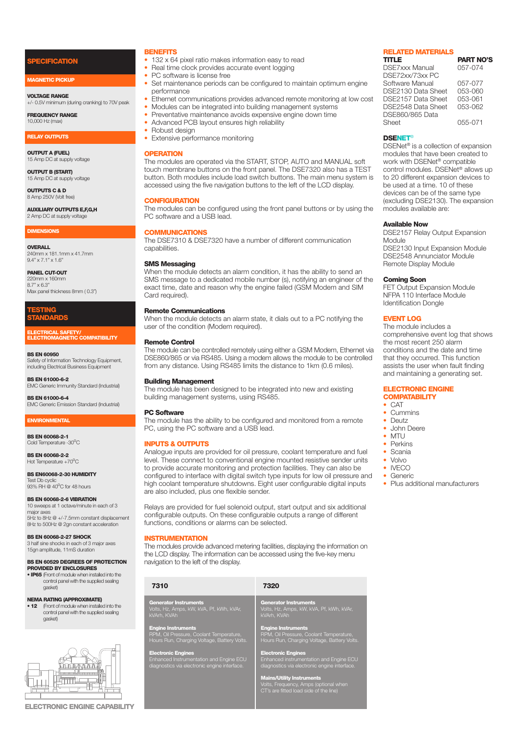#### **ICATION**

#### **MAGNETIC PICKUP**

**VOLTAGE RANGE**

+/- 0.5V minimum (during cranking) to 70V peak

**FREQUENCY RANGE** 10,000 Hz (max)

#### **RELAY OUTPUTS**

**OUTPUT A (FUEL)** 15 Amp DC at supply voltage

**OUTPUT B (START)** 15 Amp DC at supply voltage

**OUTPUTS C & D** 8 Amp 250V Molt free

**AUXILIARY OUTPUTS E,F,G,H** 2 Amp DC at supply voltage

#### **DIMENSIONS**

**OVERALL** 240mm x 181.1mm x 41.7mm 9.4" x 7.1" x 1.6"

**PANEL CUT-OUT** 220mm x 160mm 8.7" x 6.3" Max panel thickness 8mm ( 0.3")

#### **TESTING STANDARDS**

**ELECTRICAL SAFETY/ ELECTROMAGNETIC COMPATIBILITY**

**BS EN 60950** Safety of Information Technology Equipment, including Electrical Business Equipment

**BS EN 61000-6-2** EMC Generic Immunity Standard (Industrial)

**BS EN 61000-6-4** EMC Generic Emission Standard (Industrial)

#### **ENVIRONMENTAL**

**BS EN 60068-2-1** Cold Temperature -30°C

**BS EN 60068-2-2** Hot Temperature +70<sup>o</sup>C

**BS EN60068-2-30 HUMIDITY** Test Db cyclic  $93\%$  RH  $\overset{\circ}{\omega}$  40<sup>o</sup>C for 48 hours

#### **BS EN 60068-2-6 VIBRATION**

10 sweeps at 1 octave/minute in each of 3 major axes 5Hz to 8Hz @ +/-7.5mm constant displacement 8Hz to 500Hz @ 2gn constant acceleration

**BS EN 60068-2-27 SHOCK** 3 half sine shocks in each of 3 major axes 15gn amplitude, 11mS duration

#### **BS EN 60529 DEGREES OF PROTECTION PROVIDED BY ENCLOSURES**

**• IP65** (Front of module when installed into the control panel with the supplied sealing gasket)

## **NEMA RATING (APPROXIMATE)**

**• 12** (Front of module when installed into the control panel with the supplied sealing gasket)



**ELECTRONIC ENGINE CAPABILITY**

#### **BENEFITS**

• 132 x 64 pixel ratio makes information easy to read

- Real time clock provides accurate event logging
- PC software is license free
- Set maintenance periods can be configured to maintain optimum engine performance
- Ethernet communications provides advanced remote monitoring at low cost
- Modules can be integrated into building management systems
- Preventative maintenance avoids expensive engine down time • Advanced PCB layout ensures high reliability<br>• Robust design
- Robust design
- Extensive performance monitoring

#### **OPERATION**

The modules are operated via the START, STOP, AUTO and MANUAL soft touch membrane buttons on the front panel. The DSE7320 also has a TEST button. Both modules include load switch buttons. The main menu system is accessed using the five navigation buttons to the left of the LCD display.

#### **CONFIGURATION**

The modules can be configured using the front panel buttons or by using the PC software and a USB lead.

#### **COMMUNICATIONS**

The DSE7310 & DSE7320 have a number of different communication capabilities

#### **SMS Messaging**

When the module detects an alarm condition, it has the ability to send an SMS message to a dedicated mobile number (s), notifying an engineer of the exact time, date and reason why the engine failed (GSM Modem and SIM Card required).

#### **Remote Communications**

When the module detects an alarm state, it dials out to a PC notifying the user of the condition (Modem required).

#### **Remote Control**

The module can be controlled remotely using either a GSM Modem, Ethernet via DSE860/865 or via RS485. Using a modem allows the module to be controlled from any distance. Using RS485 limits the distance to 1km (0.6 miles).

#### **Building Management**

The module has been designed to be integrated into new and existing building management systems, using RS485.

#### **PC Software**

The module has the ability to be configured and monitored from a remote PC, using the PC software and a USB lead.

#### **INPUTS & OUTPUTS**

Analogue inputs are provided for oil pressure, coolant temperature and fuel level. These connect to conventional engine mounted resistive sender units to provide accurate monitoring and protection facilities. They can also be configured to interface with digital switch type inputs for low oil pressure and high coolant temperature shutdowns. Eight user configurable digital inputs are also included, plus one flexible sender.

Relays are provided for fuel solenoid output, start output and six additional configurable outputs. On these configurable outputs a range of different functions, conditions or alarms can be selected.

#### **INSTRUMENTATION**

The modules provide advanced metering facilities, displaying the information on the LCD display. The information can be accessed using the five-key menu navigation to the left of the display.

| 7310                                                                                                                 | 7320                                                                                                                                                                                                                                        |
|----------------------------------------------------------------------------------------------------------------------|---------------------------------------------------------------------------------------------------------------------------------------------------------------------------------------------------------------------------------------------|
| <b>Generator Instruments</b><br>Volts, Hz, Amps, kW, kVA, Pf, kWh, kVAr,<br>kVArh, KVAh                              | <b>Generator Instruments</b><br>Volts, Hz, Amps, kW, kVA, Pf, kWh, kVAr,<br>kVArh, KVAh                                                                                                                                                     |
| <b>Engine Instruments</b><br>RPM, Oil Pressure, Coolant Temperature,<br>Hours Run, Charging Voltage, Battery Volts.  | <b>Engine Instruments</b><br>RPM, Oil Pressure, Coolant Temperature,<br>Hours Run, Charging Voltage, Battery Volts.                                                                                                                         |
| <b>Electronic Engines</b><br>Enhanced Instrumentation and Engine ECU<br>diagnostics via electronic engine interface. | <b>Electronic Engines</b><br>Enhanced instrumentation and Engine ECU<br>diagnostics via electronic engine interface.<br><b>Mains/Utility Instruments</b><br>Volts, Frequency, Amps (optional when<br>CT's are fitted load side of the line) |
|                                                                                                                      |                                                                                                                                                                                                                                             |

## **RELATED MATERIALS**

**PART NO'S** DSE7xxx Manual 057-074 DSE72xx/73xx PC Software Manual 057-077<br>DSE2130 Data Sheet 053-060 DSE2130 Data Sheet 053-060<br>DSE2157 Data Sheet 053-061 DSE2157 Data Sheet DSE2548 Data Sheet 053-062 DSE860/865 Data 055-071

#### **DSENET**®

DSENet ® is a collection of expansion modules that have been created to work with DSENet ® compatible control modules. DSENet ® allows up to 20 different expansion devices to be used at a time. 10 of these devices can be of the same type (excluding DSE2130). The expansion modules available are:

#### **Available Now**

DSE2157 Relay Output Expansion Module DSE2130 Input Expansion Module DSE2548 Annunciator Module Remote Display Module

#### **Coming Soon**

FFT Output Expansion Module NFPA 110 Interface Module Identification Dongle

#### **EVENT LOG**

The module includes a comprehensive event log that shows the most recent 250 alarm conditions and the date and time that they occurred. This function assists the user when fault finding and maintaining a generating set.

#### **ELECTRONIC ENGINE COMPATABILITY**

#### • CAT

- Cummins
- Deutz<br>• John J
- John Deere
- MTU<br>• Perki
- Perkins
- Scania
- Volvo
- IVECO
- Generic
- Plus additional manufacturers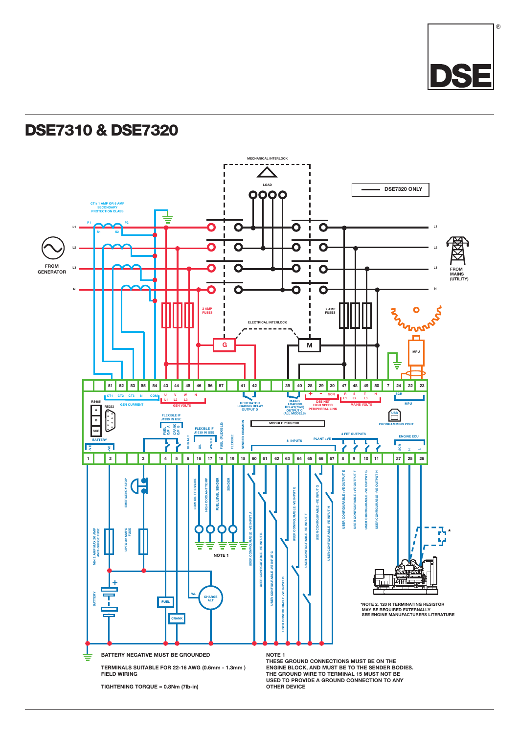

## **DSE7310 & DSE7320**